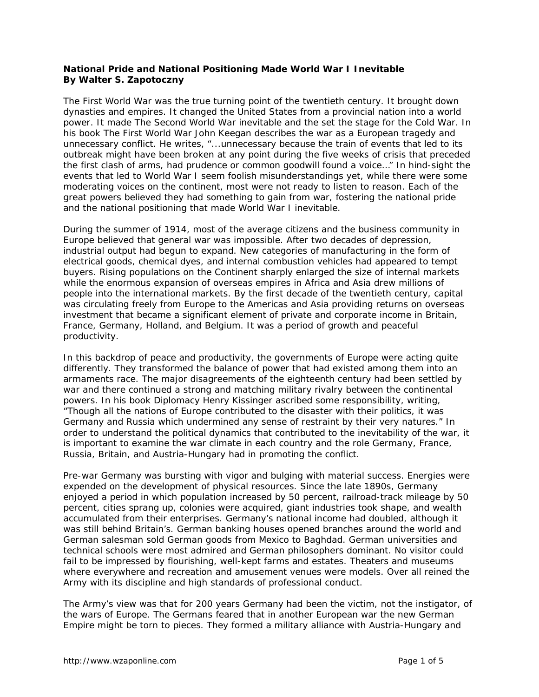## **National Pride and National Positioning Made World War I Inevitable By Walter S. Zapotoczny**

The First World War was the true turning point of the twentieth century. It brought down dynasties and empires. It changed the United States from a provincial nation into a world power. It made The Second World War inevitable and the set the stage for the Cold War. In his book *The First World War* John Keegan describes the war as a European tragedy and unnecessary conflict. He writes, "...unnecessary because the train of events that led to its outbreak might have been broken at any point during the five weeks of crisis that preceded the first clash of arms, had prudence or common goodwill found a voice…" In hind-sight the events that led to World War I seem foolish misunderstandings yet, while there were some moderating voices on the continent, most were not ready to listen to reason. Each of the great powers believed they had something to gain from war, fostering the national pride and the national positioning that made World War I inevitable.

During the summer of 1914, most of the average citizens and the business community in Europe believed that general war was impossible. After two decades of depression, industrial output had begun to expand. New categories of manufacturing in the form of electrical goods, chemical dyes, and internal combustion vehicles had appeared to tempt buyers. Rising populations on the Continent sharply enlarged the size of internal markets while the enormous expansion of overseas empires in Africa and Asia drew millions of people into the international markets. By the first decade of the twentieth century, capital was circulating freely from Europe to the Americas and Asia providing returns on overseas investment that became a significant element of private and corporate income in Britain, France, Germany, Holland, and Belgium. It was a period of growth and peaceful productivity.

In this backdrop of peace and productivity, the governments of Europe were acting quite differently. They transformed the balance of power that had existed among them into an armaments race. The major disagreements of the eighteenth century had been settled by war and there continued a strong and matching military rivalry between the continental powers. In his book *Diplomacy* Henry Kissinger ascribed some responsibility, writing, "Though all the nations of Europe contributed to the disaster with their politics, it was Germany and Russia which undermined any sense of restraint by their very natures." In order to understand the political dynamics that contributed to the inevitability of the war, it is important to examine the war climate in each country and the role Germany, France, Russia, Britain, and Austria-Hungary had in promoting the conflict.

Pre-war Germany was bursting with vigor and bulging with material success. Energies were expended on the development of physical resources. Since the late 1890s, Germany enjoyed a period in which population increased by 50 percent, railroad-track mileage by 50 percent, cities sprang up, colonies were acquired, giant industries took shape, and wealth accumulated from their enterprises. Germany's national income had doubled, although it was still behind Britain's. German banking houses opened branches around the world and German salesman sold German goods from Mexico to Baghdad. German universities and technical schools were most admired and German philosophers dominant. No visitor could fail to be impressed by flourishing, well-kept farms and estates. Theaters and museums where everywhere and recreation and amusement venues were models. Over all reined the Army with its discipline and high standards of professional conduct.

The Army's view was that for 200 years Germany had been the victim, not the instigator, of the wars of Europe. The Germans feared that in another European war the new German Empire might be torn to pieces. They formed a military alliance with Austria-Hungary and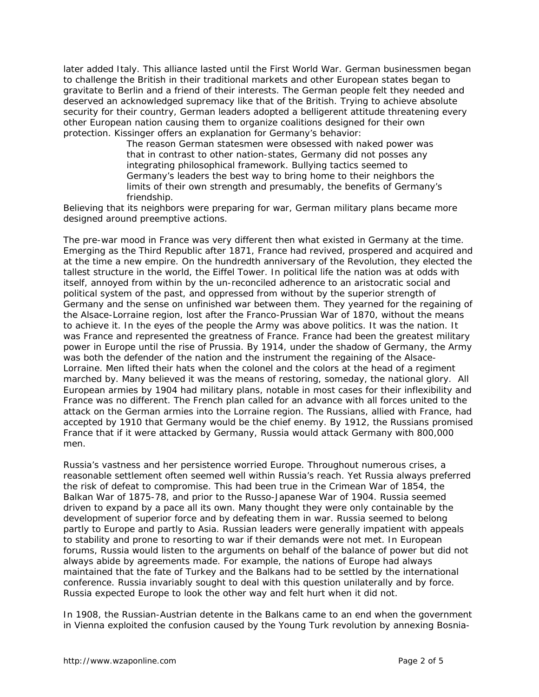later added Italy. This alliance lasted until the First World War. German businessmen began to challenge the British in their traditional markets and other European states began to gravitate to Berlin and a friend of their interests. The German people felt they needed and deserved an acknowledged supremacy like that of the British. Trying to achieve absolute security for their country, German leaders adopted a belligerent attitude threatening every other European nation causing them to organize coalitions designed for their own protection. Kissinger offers an explanation for Germany's behavior:

> The reason German statesmen were obsessed with naked power was that in contrast to other nation-states, Germany did not posses any integrating philosophical framework. Bullying tactics seemed to Germany's leaders the best way to bring home to their neighbors the limits of their own strength and presumably, the benefits of Germany's friendship.

Believing that its neighbors were preparing for war, German military plans became more designed around preemptive actions.

The pre-war mood in France was very different then what existed in Germany at the time. Emerging as the Third Republic after 1871, France had revived, prospered and acquired and at the time a new empire. On the hundredth anniversary of the Revolution, they elected the tallest structure in the world, the Eiffel Tower. In political life the nation was at odds with itself, annoyed from within by the un-reconciled adherence to an aristocratic social and political system of the past, and oppressed from without by the superior strength of Germany and the sense on unfinished war between them. They yearned for the regaining of the Alsace-Lorraine region, lost after the Franco-Prussian War of 1870, without the means to achieve it. In the eyes of the people the Army was above politics. It was the nation. It was France and represented the greatness of France. France had been the greatest military power in Europe until the rise of Prussia. By 1914, under the shadow of Germany, the Army was both the defender of the nation and the instrument the regaining of the Alsace-Lorraine. Men lifted their hats when the colonel and the colors at the head of a regiment marched by. Many believed it was the means of restoring, someday, the national glory. All European armies by 1904 had military plans, notable in most cases for their inflexibility and France was no different. The French plan called for an advance with all forces united to the attack on the German armies into the Lorraine region. The Russians, allied with France, had accepted by 1910 that Germany would be the chief enemy. By 1912, the Russians promised France that if it were attacked by Germany, Russia would attack Germany with 800,000 men.

Russia's vastness and her persistence worried Europe. Throughout numerous crises, a reasonable settlement often seemed well within Russia's reach. Yet Russia always preferred the risk of defeat to compromise. This had been true in the Crimean War of 1854, the Balkan War of 1875-78, and prior to the Russo-Japanese War of 1904. Russia seemed driven to expand by a pace all its own. Many thought they were only containable by the development of superior force and by defeating them in war. Russia seemed to belong partly to Europe and partly to Asia. Russian leaders were generally impatient with appeals to stability and prone to resorting to war if their demands were not met. In European forums, Russia would listen to the arguments on behalf of the balance of power but did not always abide by agreements made. For example, the nations of Europe had always maintained that the fate of Turkey and the Balkans had to be settled by the international conference. Russia invariably sought to deal with this question unilaterally and by force. Russia expected Europe to look the other way and felt hurt when it did not.

In 1908, the Russian-Austrian detente in the Balkans came to an end when the government in Vienna exploited the confusion caused by the Young Turk revolution by annexing Bosnia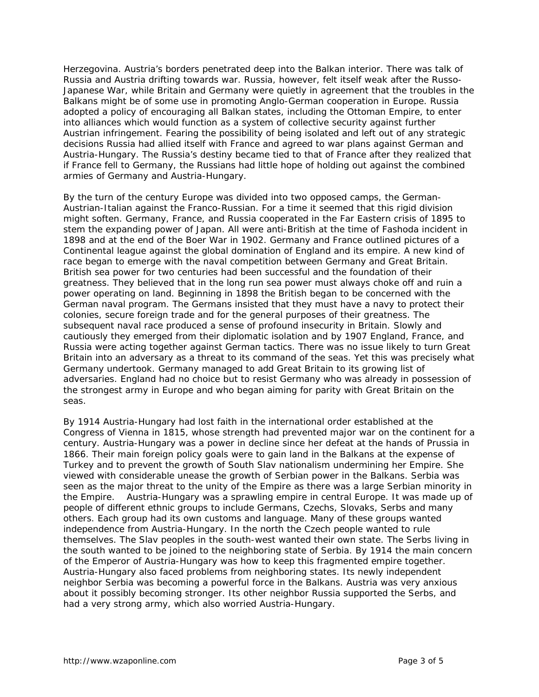Herzegovina. Austria's borders penetrated deep into the Balkan interior. There was talk of Russia and Austria drifting towards war. Russia, however, felt itself weak after the Russo-Japanese War, while Britain and Germany were quietly in agreement that the troubles in the Balkans might be of some use in promoting Anglo-German cooperation in Europe. Russia adopted a policy of encouraging all Balkan states, including the Ottoman Empire, to enter into alliances which would function as a system of collective security against further Austrian infringement. Fearing the possibility of being isolated and left out of any strategic decisions Russia had allied itself with France and agreed to war plans against German and Austria-Hungary. The Russia's destiny became tied to that of France after they realized that if France fell to Germany, the Russians had little hope of holding out against the combined armies of Germany and Austria-Hungary.

By the turn of the century Europe was divided into two opposed camps, the German-Austrian-Italian against the Franco-Russian. For a time it seemed that this rigid division might soften. Germany, France, and Russia cooperated in the Far Eastern crisis of 1895 to stem the expanding power of Japan. All were anti-British at the time of Fashoda incident in 1898 and at the end of the Boer War in 1902. Germany and France outlined pictures of a Continental league against the global domination of England and its empire. A new kind of race began to emerge with the naval competition between Germany and Great Britain. British sea power for two centuries had been successful and the foundation of their greatness. They believed that in the long run sea power must always choke off and ruin a power operating on land. Beginning in 1898 the British began to be concerned with the German naval program. The Germans insisted that they must have a navy to protect their colonies, secure foreign trade and for the general purposes of their greatness. The subsequent naval race produced a sense of profound insecurity in Britain. Slowly and cautiously they emerged from their diplomatic isolation and by 1907 England, France, and Russia were acting together against German tactics. There was no issue likely to turn Great Britain into an adversary as a threat to its command of the seas. Yet this was precisely what Germany undertook. Germany managed to add Great Britain to its growing list of adversaries. England had no choice but to resist Germany who was already in possession of the strongest army in Europe and who began aiming for parity with Great Britain on the seas.

By 1914 Austria-Hungary had lost faith in the international order established at the Congress of Vienna in 1815, whose strength had prevented major war on the continent for a century. Austria-Hungary was a power in decline since her defeat at the hands of Prussia in 1866. Their main foreign policy goals were to gain land in the Balkans at the expense of Turkey and to prevent the growth of South Slav nationalism undermining her Empire. She viewed with considerable unease the growth of Serbian power in the Balkans. Serbia was seen as the major threat to the unity of the Empire as there was a large Serbian minority in the Empire. Austria-Hungary was a sprawling empire in central Europe. It was made up of people of different ethnic groups to include Germans, Czechs, Slovaks, Serbs and many others. Each group had its own customs and language. Many of these groups wanted independence from Austria-Hungary. In the north the Czech people wanted to rule themselves. The Slav peoples in the south-west wanted their own state. The Serbs living in the south wanted to be joined to the neighboring state of Serbia. By 1914 the main concern of the Emperor of Austria-Hungary was how to keep this fragmented empire together. Austria-Hungary also faced problems from neighboring states. Its newly independent neighbor Serbia was becoming a powerful force in the Balkans. Austria was very anxious about it possibly becoming stronger. Its other neighbor Russia supported the Serbs, and had a very strong army, which also worried Austria-Hungary.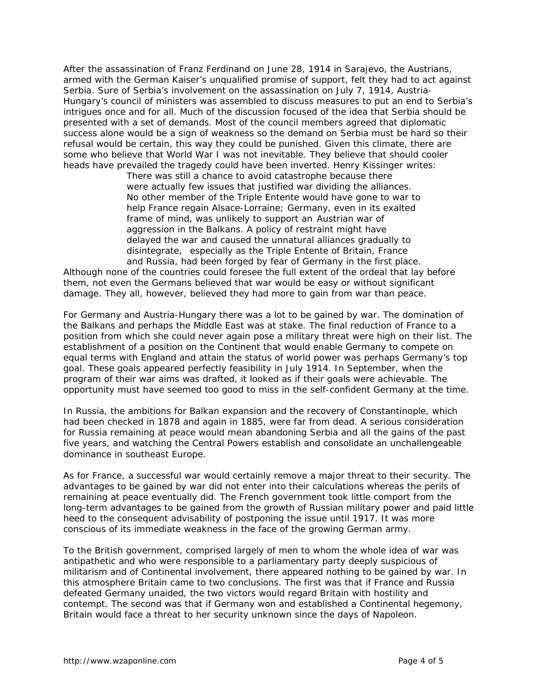After the assassination of Franz Ferdinand on June 28, 1914 in Sarajevo, the Austrians, armed with the German Kaiser's unqualified promise of support, felt they had to act against Serbia. Sure of Serbia's involvement on the assassination on July 7, 1914, Austria-Hungary's council of ministers was assembled to discuss measures to put an end to Serbia's intrigues once and for all. Much of the discussion focused of the idea that Serbia should be presented with a set of demands. Most of the council members agreed that diplomatic success alone would be a sign of weakness so the demand on Serbia must be hard so their refusal would be certain, this way they could be punished. Given this climate, there are some who believe that World War I was not inevitable. They believe that should cooler heads have prevailed the tragedy could have been inverted. Henry Kissinger writes:

> There was still a chance to avoid catastrophe because there were actually few issues that justified war dividing the alliances. No other member of the Triple Entente would have gone to war to help France regain Alsace-Lorraine; Germany, even in its exalted frame of mind, was unlikely to support an Austrian war of aggression in the Balkans. A policy of restraint might have delayed the war and caused the unnatural alliances gradually to disintegrate, especially as the Triple Entente of Britain, France and Russia, had been forged by fear of Germany in the first place.

Although none of the countries could foresee the full extent of the ordeal that lay before them, not even the Germans believed that war would be easy or without significant damage. They all, however, believed they had more to gain from war than peace.

For Germany and Austria-Hungary there was a lot to be gained by war. The domination of the Balkans and perhaps the Middle East was at stake. The final reduction of France to a position from which she could never again pose a military threat were high on their list. The establishment of a position on the Continent that would enable Germany to compete on equal terms with England and attain the status of world power was perhaps Germany's top goal. These goals appeared perfectly feasibility in July 1914. In September, when the program of their war aims was drafted, it looked as if their goals were achievable. The opportunity must have seemed too good to miss in the self-confident Germany at the time.

In Russia, the ambitions for Balkan expansion and the recovery of Constantinople, which had been checked in 1878 and again in 1885, were far from dead. A serious consideration for Russia remaining at peace would mean abandoning Serbia and all the gains of the past five years, and watching the Central Powers establish and consolidate an unchallengeable dominance in southeast Europe.

As for France, a successful war would certainly remove a major threat to their security. The advantages to be gained by war did not enter into their calculations whereas the perils of remaining at peace eventually did. The French government took little comport from the long-term advantages to be gained from the growth of Russian military power and paid little heed to the consequent advisability of postponing the issue until 1917. It was more conscious of its immediate weakness in the face of the growing German army.

To the British government, comprised largely of men to whom the whole idea of war was antipathetic and who were responsible to a parliamentary party deeply suspicious of militarism and of Continental involvement, there appeared nothing to be gained by war. In this atmosphere Britain came to two conclusions. The first was that if France and Russia defeated Germany unaided, the two victors would regard Britain with hostility and contempt. The second was that if Germany won and established a Continental hegemony, Britain would face a threat to her security unknown since the days of Napoleon.